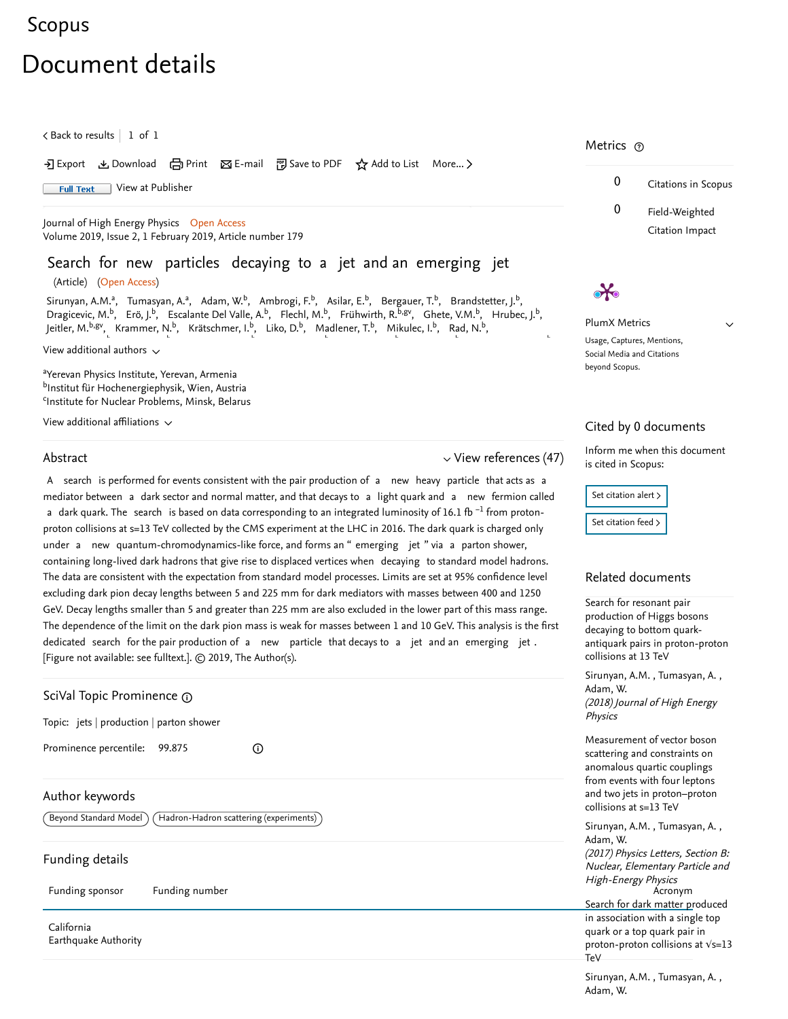## [Scopus](https://www.scopus.com/home.uri?zone=header&origin=searchbasic)

# Document details

 $\zeta$  [Back to results](https://www.scopus.com/results/results.uri?sort=plf-f&src=s&st1=Search+for+new+particles+decaying+to+a+jet+and+an+emerging+jet&st2=&sid=35b59086531836ebf06ba20d64bbfaa8&sot=b&sdt=b&sl=77&s=TITLE-ABS-KEY%28Search+for+new+particles+decaying+to+a+jet+and+an+emerging+jet%29&offset=1&origin=recordpage)  $\vert\,$  1 of 1  $\,$ 

#### • Export と Download (日 Print 区 E-mail 約 Save to PDF ☆ Add to List More... >

Full Text [View at Publisher](https://www.scopus.com/redirect/linking.uri?targetURL=https%3a%2f%2fdoi.org%2f10.1007%2fJHEP02%282019%29179&locationID=1&categoryID=4&eid=2-s2.0-85062265042&issn=11266708&linkType=ViewAtPublisher&year=2019&origin=recordpage&dig=9bf7e9ccf6904deaa0037cb46df09a69&recordRank=)

[Journal of High Energy Physics](https://www.scopus.com/sourceid/28520?origin=recordpage) Open Access Volume 2019, Issue 2, 1 February 2019, Article number 179

## Search for new particles decaying to a jet and an emerging jet

(Article) (Open Access)

[Sirunyan, A.M.](https://www.scopus.com/authid/detail.uri?authorId=16239550900&eid=2-s2.0-85062265042)ª, [Tumasyan, A.](https://www.scopus.com/authid/detail.uri?authorId=35222495600&eid=2-s2.0-85062265042)ª, [Adam, W.](https://www.scopus.com/authid/detail.uri?authorId=56217303000&eid=2-s2.0-85062265042)ʰ, [Ambrogi, F.](https://www.scopus.com/authid/detail.uri?authorId=57195404626&eid=2-s2.0-85062265042)ʰ, [Asilar, E.](https://www.scopus.com/authid/detail.uri?authorId=55175601800&eid=2-s2.0-85062265042)ʰ, [Bergauer, T.](https://www.scopus.com/authid/detail.uri?authorId=57204570563&eid=2-s2.0-85062265042)ʰ, [Brandstetter, J.](https://www.scopus.com/authid/detail.uri?authorId=56681989400&eid=2-s2.0-85062265042)ʰ, [Dragicevic, M.](https://www.scopus.com/authid/detail.uri?authorId=57202554249&eid=2-s2.0-85062265042)<sup>b</sup>, [Erö, J.](https://www.scopus.com/authid/detail.uri?authorId=8436223900&eid=2-s2.0-85062265042)<sup>b</sup>, [Escalante Del Valle, A.](https://www.scopus.com/authid/detail.uri?authorId=56272545200&eid=2-s2.0-85062265042)<sup>b</sup>, [Flechl, M.](https://www.scopus.com/authid/detail.uri?authorId=24757923200&eid=2-s2.0-85062265042)<sup>b</sup>, [Frühwirth, R.](https://www.scopus.com/authid/detail.uri?authorId=8791909900&eid=2-s2.0-85062265042)<sup>b,gv</sup>, [Ghete, V.M.](https://www.scopus.com/authid/detail.uri?authorId=6603210566&eid=2-s2.0-85062265042)<sup>b</sup>, [Hrubec, J.](https://www.scopus.com/authid/detail.uri?authorId=7007049415&eid=2-s2.0-85062265042)<sup>b</sup>, [Jeitler, M.](https://www.scopus.com/authid/detail.uri?authorId=16019870600&eid=2-s2.0-85062265042)<sup>b,gv</sup>, [Krammer, N.](https://www.scopus.com/authid/detail.uri?authorId=57194835548&eid=2-s2.0-85062265042)<sup>b</sup>, [Krätschmer, I.](https://www.scopus.com/authid/detail.uri?authorId=55350328500&eid=2-s2.0-85062265042)<sup>b</sup>, [Liko, D.](https://www.scopus.com/authid/detail.uri?authorId=35227509400&eid=2-s2.0-85062265042)<sup>b</sup>, [Madlener, T.](https://www.scopus.com/authid/detail.uri?authorId=57195487015&eid=2-s2.0-85062265042)<sup>b</sup>, [Mikulec, I.](https://www.scopus.com/authid/detail.uri?authorId=15825660400&eid=2-s2.0-85062265042)<sup>b</sup>, [Rad, N.](https://www.scopus.com/authid/detail.uri?authorId=57147348800&eid=2-s2.0-85062265042)<sup>b</sup>, b b b b b b b

View additional authors  $\sim$ 

<sup>a</sup>Yerevan Physics Institute, Yerevan, Armenia <sup>b</sup>Institut für Hochenergiephysik, Wien, Austria <sup>c</sup>Institute for Nuclear Problems, Minsk, Belarus

View additional affiliations  $\sim$ 

#### Abstract

#### $\vee$  [View references \(47\)](#page-1-0)

A search is performed for events consistent with the pair production of a new heavy particle that acts as a mediator between a dark sector and normal matter, and that decays to a light quark and a new fermion called a dark quark. The search is based on data corresponding to an integrated luminosity of 16.1 fb <sup>-1</sup> from protonproton collisions at s=13 TeV collected by the CMS experiment at the LHC in 2016. The dark quark is charged only under a new quantum-chromodynamics-like force, and forms an " emerging jet " via a parton shower, containing long-lived dark hadrons that give rise to displaced vertices when decaying to standard model hadrons. The data are consistent with the expectation from standard model processes. Limits are set at 95% confidence level excluding dark pion decay lengths between 5 and 225 mm for dark mediators with masses between 400 and 1250 GeV. Decay lengths smaller than 5 and greater than 225 mm are also excluded in the lower part of this mass range. The dependence of the limit on the dark pion mass is weak for masses between 1 and 10 GeV. This analysis is the first dedicated search for the pair production of a new particle that decays to a jet and an emerging jet . [Figure not available: see fulltext.]. © 2019, The Author(s).

| Adam, W.<br>GoiVal Topic Prominence @<br>(2018) Journal of High Ene |                                                                                                                    |
|---------------------------------------------------------------------|--------------------------------------------------------------------------------------------------------------------|
| Topic: jets $ $ production $ $ parton shower                        | Physics                                                                                                            |
| Prominence percentile: 99.875<br>⊙                                  | Measurement of vector bo<br>scattering and constraints<br>anomalous quartic couplin<br>from events with four lepto |
| Author keywords                                                     | and two jets in proton-pro<br>collisions at s=13 TeV                                                               |
| Beyond Standard Model<br>Hadron-Hadron scattering (experiments)     | Sirunyan, A.M., Tumasyar<br>Adam, W.                                                                               |
| Funding details                                                     | (2017) Physics Letters, Sec<br>Nuclear, Elementary Partio                                                          |
| Funding number<br>Funding sponsor                                   | <b>High-Energy Physics</b><br>Acronym<br>Search for dark matter pro                                                |
| California<br>Earthquake Authority                                  | in association with a single<br>quark or a top quark pair i<br>proton-proton collisions a<br>TeV                   |

### Metrics ල

 $\lambda$ 



 $\vee$ 

PlumX Metrics Usage, Captures, Mentions, Social Media and Citations beyond Scopus.

#### Cited by 0 documents

Inform me when this document is cited in Scopus:

Set citation alert > [Set citation feed](https://www.scopus.com/results/rss/handler.uri?citeEid=2-s2.0-85062265042) >

#### Related documents

Search for resonant pair production of Higgs bosons decaying to bottom quark[antiquark pairs in proton-proton](https://www.scopus.com/record/display.uri?origin=recordpage&zone=relatedDocuments&eid=2-s2.0-85052374035&citeCnt=0&noHighlight=false&sort=plf-f&src=s&st1=Search+for+new+particles+decaying+to+a+jet+and+an+emerging+jet&st2=&sid=35b59086531836ebf06ba20d64bbfaa8&sot=b&sdt=b&sl=77&s=TITLE-ABS-KEY%28Search+for+new+particles+decaying+to+a+jet+and+an+emerging+jet%29&relpos=0) collisions at 13 TeV

, , [Sirunyan, A.M.](https://www.scopus.com/authid/detail.uri?origin=recordpage&authorId=16239550900&zone=relatedDocuments) Tumasyan, A. (2018) Journal of High Energy Physics [Adam, W.](https://www.scopus.com/authid/detail.uri?origin=recordpage&authorId=56217303000&zone=relatedDocuments)

Measurement of vector boson scattering and constraints on anomalous quartic couplings from events with four leptons [and two jets in proton–proton](https://www.scopus.com/record/display.uri?origin=recordpage&zone=relatedDocuments&eid=2-s2.0-85035068574&citeCnt=0&noHighlight=false&sort=plf-f&src=s&st1=Search+for+new+particles+decaying+to+a+jet+and+an+emerging+jet&st2=&sid=35b59086531836ebf06ba20d64bbfaa8&sot=b&sdt=b&sl=77&s=TITLE-ABS-KEY%28Search+for+new+particles+decaying+to+a+jet+and+an+emerging+jet%29&relpos=1) collisions at s=13 TeV

, , [Sirunyan, A.M.](https://www.scopus.com/authid/detail.uri?origin=recordpage&authorId=16239550900&zone=relatedDocuments) Tumasyan, A. (2017) Physics Letters, Section B: Nuclear, Elementary Particle and High-Energy Physics<br>Acronym [Adam, W.](https://www.scopus.com/authid/detail.uri?origin=recordpage&authorId=56217303000&zone=relatedDocuments)

Search for dark matter produced in association with a single top quark or a top quark pair in [proton-proton collisions at √s=13](https://www.scopus.com/record/display.uri?origin=recordpage&zone=relatedDocuments&eid=2-s2.0-85063645926&citeCnt=0&noHighlight=false&sort=plf-f&src=s&st1=Search+for+new+particles+decaying+to+a+jet+and+an+emerging+jet&st2=&sid=35b59086531836ebf06ba20d64bbfaa8&sot=b&sdt=b&sl=77&s=TITLE-ABS-KEY%28Search+for+new+particles+decaying+to+a+jet+and+an+emerging+jet%29&relpos=2) TeV

, , [Sirunyan, A.M.](https://www.scopus.com/authid/detail.uri?origin=recordpage&authorId=16239550900&zone=relatedDocuments) Tumasyan, A. [Adam, W.](https://www.scopus.com/authid/detail.uri?origin=recordpage&authorId=56217303000&zone=relatedDocuments)